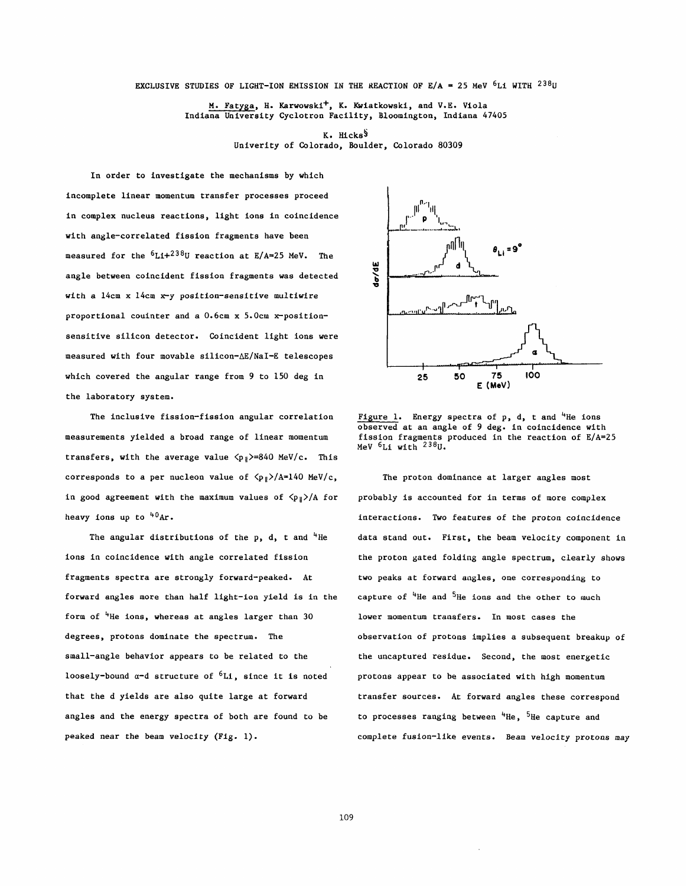EXCLUSIVE STUDIES OF LIGHT-ION EMISSION IN THE REACTION OF  $E/A = 25$  MeV  $6L1$  WITH  $238$ U

M. Fatyga, H. Karwowski<sup>+</sup>, K. Kwiatkowski, and V.E. Viola Indiana University Cyclotron Facility, Bloomington, Indiana 47405

> **K.** Hickss Univerity of Colorado, Boulder, Colorado 80309

In order to investigate the mechanisms by which with a 14cm x 14cm x-y position-sensitive multiwire proportional couinter and a 0.6cm x 5.0cm x-positionsensitive silicon detector. Coincident light ions were measured with four movable silicon-AE/NaI-E telescopes which covered the angular range from 9 to 150 deg in the laboratory system. incomplete linear momentum transfer processes proceed in complex nucleus reactions, light ions in coincidence with angle-correlated fission fragments have been measured for the  $6L1+238U$  reaction at E/A=25 MeV. The angle between coincident fission fragments was detected

The inclusive fission-fission angular correlation measurements yielded a broad range of linear momentum transfers, with the average value  $\langle p_{\parallel}\rangle = 840$  MeV/c. This corresponds to a per nucleon value of  $\langle p_{\parallel}\rangle/A=140$  MeV/c, in good agreement with the maximum values of  $\langle p_{\parallel}\rangle$ /A for heavy ions up to  $40Ar$ .

The angular distributions of the p, d, t and  $4$ He ions in coincidence with angle correlated fission fragments spectra are strongly forward-peaked. At forward angles more than half light-ion yield is in the form of  $4H$ e ions, whereas at angles larger than 30 degrees, protons dominate the spectrum. The small-angle behavior appears to be related to the loosely-bound  $\alpha$ -d structure of  ${}^{6}Li$ , since it is noted protons appear to be associated with high momentum that the d yields are also quite large at forward transfer sources. At forward angles these correspond angles and the energy spectra of both are found to be to processes ranging between  $4\text{He}$ ,  $5\text{He}$  capture and



Figure 1. Energy spectra of  $p$ ,  $d$ ,  $t$  and <sup>4</sup>He ions observed at an angle of 9 deg. in coincidence with fission fragments produced in the reaction of E/A=25 MeV  $6Li$  with  $238$ U.

The proton dominance at larger angles most probably is accounted for in terms of more complex interactions. Two features of the proton coincidence data stand out. First, the beam velocity component in the proton gated folding angle spectrum, clearly shows two peaks at forward angles, one corresponding to capture of  $4H$ e and  $5H$ e ions and the other to much lower momentum transfers. In most cases the observation of protons implies a subsequent breakup of the uncaptured residue. Second, the most energetic peaked near the beam velocity (Fig. 1). complete fusion-like events. Beam velocity protons may